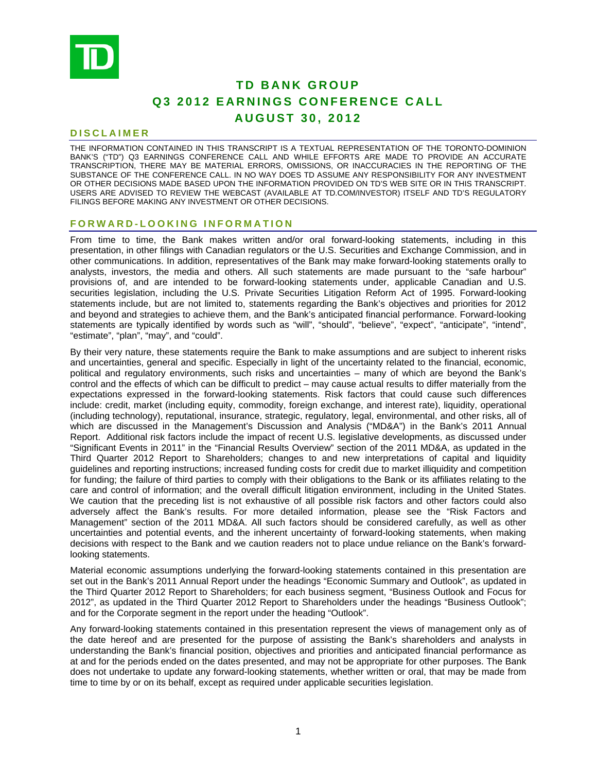

# **TD BANK GROUP Q3 2012 EARNINGS CONFERENCE CALL AUGUST 30, 2012**

# **DISCLAIMER**

THE INFORMATION CONTAINED IN THIS TRANSCRIPT IS A TEXTUAL REPRESENTATION OF THE TORONTO-DOMINION BANK'S ("TD") Q3 EARNINGS CONFERENCE CALL AND WHILE EFFORTS ARE MADE TO PROVIDE AN ACCURATE TRANSCRIPTION, THERE MAY BE MATERIAL ERRORS, OMISSIONS, OR INACCURACIES IN THE REPORTING OF THE SUBSTANCE OF THE CONFERENCE CALL. IN NO WAY DOES TD ASSUME ANY RESPONSIBILITY FOR ANY INVESTMENT OR OTHER DECISIONS MADE BASED UPON THE INFORMATION PROVIDED ON TD'S WEB SITE OR IN THIS TRANSCRIPT. USERS ARE ADVISED TO REVIEW THE WEBCAST (AVAILABLE AT TD.COM/INVESTOR) ITSELF AND TD'S REGULATORY FILINGS BEFORE MAKING ANY INVESTMENT OR OTHER DECISIONS.

# **FORWARD-LOOKING INFORMATION**

From time to time, the Bank makes written and/or oral forward-looking statements, including in this presentation, in other filings with Canadian regulators or the U.S. Securities and Exchange Commission, and in other communications. In addition, representatives of the Bank may make forward-looking statements orally to analysts, investors, the media and others. All such statements are made pursuant to the "safe harbour" provisions of, and are intended to be forward-looking statements under, applicable Canadian and U.S. securities legislation, including the U.S. Private Securities Litigation Reform Act of 1995. Forward-looking statements include, but are not limited to, statements regarding the Bank's objectives and priorities for 2012 and beyond and strategies to achieve them, and the Bank's anticipated financial performance. Forward-looking statements are typically identified by words such as "will", "should", "believe", "expect", "anticipate", "intend", "estimate", "plan", "may", and "could".

By their very nature, these statements require the Bank to make assumptions and are subject to inherent risks and uncertainties, general and specific. Especially in light of the uncertainty related to the financial, economic, political and regulatory environments, such risks and uncertainties – many of which are beyond the Bank's control and the effects of which can be difficult to predict – may cause actual results to differ materially from the expectations expressed in the forward-looking statements. Risk factors that could cause such differences include: credit, market (including equity, commodity, foreign exchange, and interest rate), liquidity, operational (including technology), reputational, insurance, strategic, regulatory, legal, environmental, and other risks, all of which are discussed in the Management's Discussion and Analysis ("MD&A") in the Bank's 2011 Annual Report. Additional risk factors include the impact of recent U.S. legislative developments, as discussed under "Significant Events in 2011" in the "Financial Results Overview" section of the 2011 MD&A, as updated in the Third Quarter 2012 Report to Shareholders; changes to and new interpretations of capital and liquidity guidelines and reporting instructions; increased funding costs for credit due to market illiquidity and competition for funding; the failure of third parties to comply with their obligations to the Bank or its affiliates relating to the care and control of information; and the overall difficult litigation environment, including in the United States. We caution that the preceding list is not exhaustive of all possible risk factors and other factors could also adversely affect the Bank's results. For more detailed information, please see the "Risk Factors and Management" section of the 2011 MD&A. All such factors should be considered carefully, as well as other uncertainties and potential events, and the inherent uncertainty of forward-looking statements, when making decisions with respect to the Bank and we caution readers not to place undue reliance on the Bank's forwardlooking statements.

Material economic assumptions underlying the forward-looking statements contained in this presentation are set out in the Bank's 2011 Annual Report under the headings "Economic Summary and Outlook", as updated in the Third Quarter 2012 Report to Shareholders; for each business segment, "Business Outlook and Focus for 2012", as updated in the Third Quarter 2012 Report to Shareholders under the headings "Business Outlook"; and for the Corporate segment in the report under the heading "Outlook".

Any forward-looking statements contained in this presentation represent the views of management only as of the date hereof and are presented for the purpose of assisting the Bank's shareholders and analysts in understanding the Bank's financial position, objectives and priorities and anticipated financial performance as at and for the periods ended on the dates presented, and may not be appropriate for other purposes. The Bank does not undertake to update any forward-looking statements, whether written or oral, that may be made from time to time by or on its behalf, except as required under applicable securities legislation.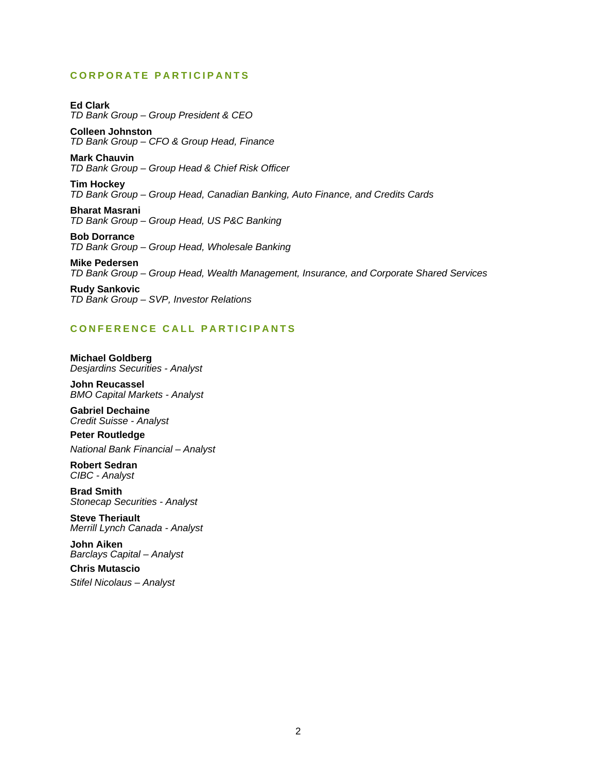# **CORPORATE PARTICIPANTS**

**Ed Clark**  *TD Bank Group – Group President & CEO* 

**Colleen Johnston**  *TD Bank Group – CFO & Group Head, Finance* 

**Mark Chauvin**  *TD Bank Group – Group Head & Chief Risk Officer* 

**Tim Hockey**  *TD Bank Group – Group Head, Canadian Banking, Auto Finance, and Credits Cards* 

**Bharat Masrani**  *TD Bank Group – Group Head, US P&C Banking* 

**Bob Dorrance**  *TD Bank Group – Group Head, Wholesale Banking* 

**Mike Pedersen**  *TD Bank Group – Group Head, Wealth Management, Insurance, and Corporate Shared Services* 

**Rudy Sankovic**  *TD Bank Group – SVP, Investor Relations* 

# **CONFERENCE CALL PARTICIPANTS**

**Michael Goldberg**  *Desjardins Securities - Analyst* 

**John Reucassel**  *BMO Capital Markets - Analyst* 

**Gabriel Dechaine**  *Credit Suisse - Analyst* 

**Peter Routledge**  *National Bank Financial – Analyst* 

**Robert Sedran**  *CIBC - Analyst* 

**Brad Smith**  *Stonecap Securities - Analyst* 

**Steve Theriault**  *Merrill Lynch Canada - Analyst* 

**John Aiken**  *Barclays Capital – Analyst* 

**Chris Mutascio**  *Stifel Nicolaus – Analyst*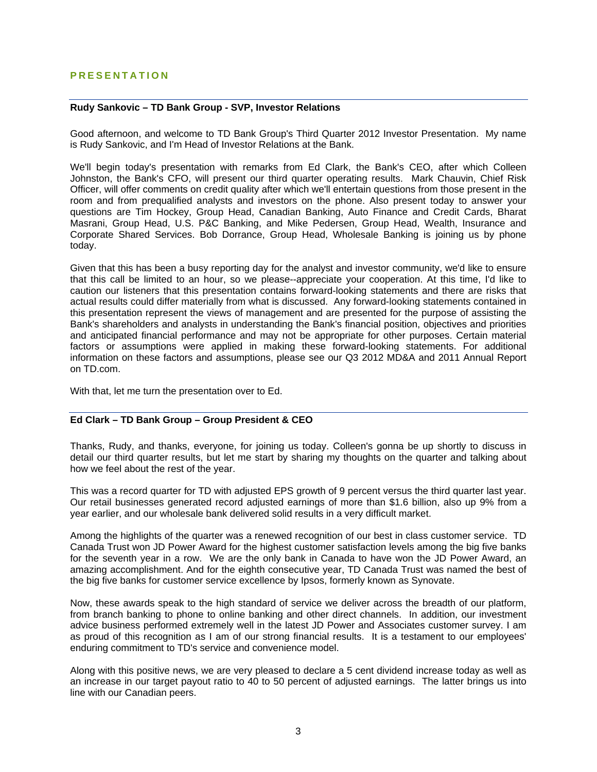# **PRESENTATION**

# **Rudy Sankovic – TD Bank Group - SVP, Investor Relations**

Good afternoon, and welcome to TD Bank Group's Third Quarter 2012 Investor Presentation. My name is Rudy Sankovic, and I'm Head of Investor Relations at the Bank.

We'll begin today's presentation with remarks from Ed Clark, the Bank's CEO, after which Colleen Johnston, the Bank's CFO, will present our third quarter operating results. Mark Chauvin, Chief Risk Officer, will offer comments on credit quality after which we'll entertain questions from those present in the room and from prequalified analysts and investors on the phone. Also present today to answer your questions are Tim Hockey, Group Head, Canadian Banking, Auto Finance and Credit Cards, Bharat Masrani, Group Head, U.S. P&C Banking, and Mike Pedersen, Group Head, Wealth, Insurance and Corporate Shared Services. Bob Dorrance, Group Head, Wholesale Banking is joining us by phone today.

Given that this has been a busy reporting day for the analyst and investor community, we'd like to ensure that this call be limited to an hour, so we please--appreciate your cooperation. At this time, I'd like to caution our listeners that this presentation contains forward-looking statements and there are risks that actual results could differ materially from what is discussed. Any forward-looking statements contained in this presentation represent the views of management and are presented for the purpose of assisting the Bank's shareholders and analysts in understanding the Bank's financial position, objectives and priorities and anticipated financial performance and may not be appropriate for other purposes. Certain material factors or assumptions were applied in making these forward-looking statements. For additional information on these factors and assumptions, please see our Q3 2012 MD&A and 2011 Annual Report on TD.com.

With that, let me turn the presentation over to Ed.

# **Ed Clark – TD Bank Group – Group President & CEO**

Thanks, Rudy, and thanks, everyone, for joining us today. Colleen's gonna be up shortly to discuss in detail our third quarter results, but let me start by sharing my thoughts on the quarter and talking about how we feel about the rest of the year.

This was a record quarter for TD with adjusted EPS growth of 9 percent versus the third quarter last year. Our retail businesses generated record adjusted earnings of more than \$1.6 billion, also up 9% from a year earlier, and our wholesale bank delivered solid results in a very difficult market.

Among the highlights of the quarter was a renewed recognition of our best in class customer service. TD Canada Trust won JD Power Award for the highest customer satisfaction levels among the big five banks for the seventh year in a row. We are the only bank in Canada to have won the JD Power Award, an amazing accomplishment. And for the eighth consecutive year, TD Canada Trust was named the best of the big five banks for customer service excellence by Ipsos, formerly known as Synovate.

Now, these awards speak to the high standard of service we deliver across the breadth of our platform, from branch banking to phone to online banking and other direct channels. In addition, our investment advice business performed extremely well in the latest JD Power and Associates customer survey. I am as proud of this recognition as I am of our strong financial results. It is a testament to our employees' enduring commitment to TD's service and convenience model.

Along with this positive news, we are very pleased to declare a 5 cent dividend increase today as well as an increase in our target payout ratio to 40 to 50 percent of adjusted earnings. The latter brings us into line with our Canadian peers.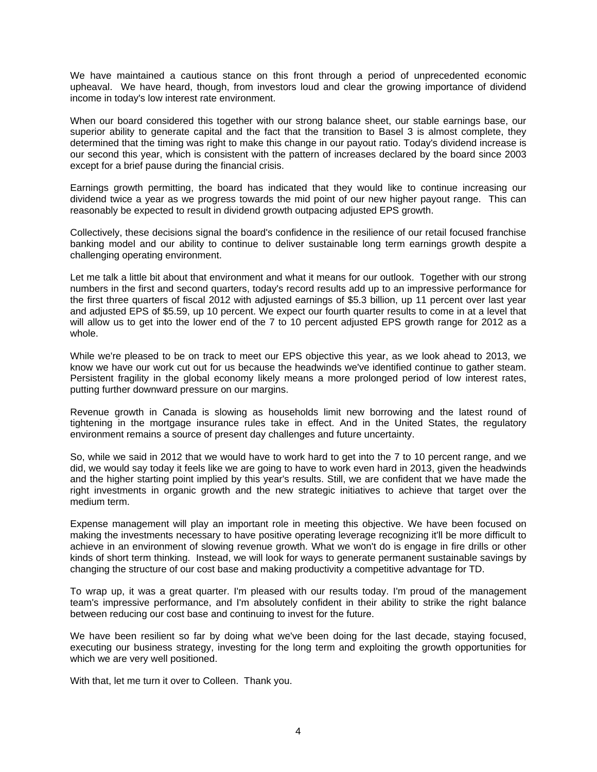We have maintained a cautious stance on this front through a period of unprecedented economic upheaval. We have heard, though, from investors loud and clear the growing importance of dividend income in today's low interest rate environment.

When our board considered this together with our strong balance sheet, our stable earnings base, our superior ability to generate capital and the fact that the transition to Basel 3 is almost complete, they determined that the timing was right to make this change in our payout ratio. Today's dividend increase is our second this year, which is consistent with the pattern of increases declared by the board since 2003 except for a brief pause during the financial crisis.

Earnings growth permitting, the board has indicated that they would like to continue increasing our dividend twice a year as we progress towards the mid point of our new higher payout range. This can reasonably be expected to result in dividend growth outpacing adjusted EPS growth.

Collectively, these decisions signal the board's confidence in the resilience of our retail focused franchise banking model and our ability to continue to deliver sustainable long term earnings growth despite a challenging operating environment.

Let me talk a little bit about that environment and what it means for our outlook. Together with our strong numbers in the first and second quarters, today's record results add up to an impressive performance for the first three quarters of fiscal 2012 with adjusted earnings of \$5.3 billion, up 11 percent over last year and adjusted EPS of \$5.59, up 10 percent. We expect our fourth quarter results to come in at a level that will allow us to get into the lower end of the 7 to 10 percent adjusted EPS growth range for 2012 as a whole.

While we're pleased to be on track to meet our EPS objective this year, as we look ahead to 2013, we know we have our work cut out for us because the headwinds we've identified continue to gather steam. Persistent fragility in the global economy likely means a more prolonged period of low interest rates, putting further downward pressure on our margins.

Revenue growth in Canada is slowing as households limit new borrowing and the latest round of tightening in the mortgage insurance rules take in effect. And in the United States, the regulatory environment remains a source of present day challenges and future uncertainty.

So, while we said in 2012 that we would have to work hard to get into the 7 to 10 percent range, and we did, we would say today it feels like we are going to have to work even hard in 2013, given the headwinds and the higher starting point implied by this year's results. Still, we are confident that we have made the right investments in organic growth and the new strategic initiatives to achieve that target over the medium term.

Expense management will play an important role in meeting this objective. We have been focused on making the investments necessary to have positive operating leverage recognizing it'll be more difficult to achieve in an environment of slowing revenue growth. What we won't do is engage in fire drills or other kinds of short term thinking. Instead, we will look for ways to generate permanent sustainable savings by changing the structure of our cost base and making productivity a competitive advantage for TD.

To wrap up, it was a great quarter. I'm pleased with our results today. I'm proud of the management team's impressive performance, and I'm absolutely confident in their ability to strike the right balance between reducing our cost base and continuing to invest for the future.

We have been resilient so far by doing what we've been doing for the last decade, staying focused, executing our business strategy, investing for the long term and exploiting the growth opportunities for which we are very well positioned.

With that, let me turn it over to Colleen. Thank you.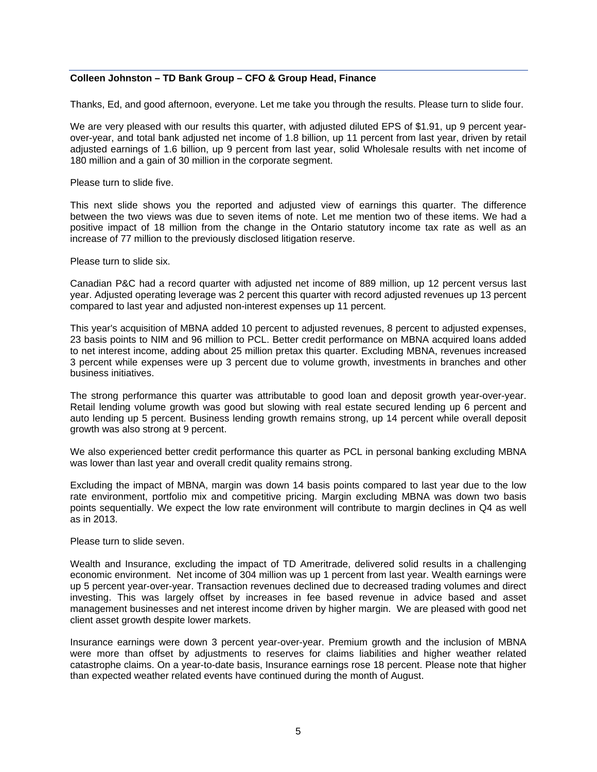# **Colleen Johnston – TD Bank Group – CFO & Group Head, Finance**

Thanks, Ed, and good afternoon, everyone. Let me take you through the results. Please turn to slide four.

We are very pleased with our results this quarter, with adjusted diluted EPS of \$1.91, up 9 percent yearover-year, and total bank adjusted net income of 1.8 billion, up 11 percent from last year, driven by retail adjusted earnings of 1.6 billion, up 9 percent from last year, solid Wholesale results with net income of 180 million and a gain of 30 million in the corporate segment.

Please turn to slide five.

This next slide shows you the reported and adjusted view of earnings this quarter. The difference between the two views was due to seven items of note. Let me mention two of these items. We had a positive impact of 18 million from the change in the Ontario statutory income tax rate as well as an increase of 77 million to the previously disclosed litigation reserve.

Please turn to slide six.

Canadian P&C had a record quarter with adjusted net income of 889 million, up 12 percent versus last year. Adjusted operating leverage was 2 percent this quarter with record adjusted revenues up 13 percent compared to last year and adjusted non-interest expenses up 11 percent.

This year's acquisition of MBNA added 10 percent to adjusted revenues, 8 percent to adjusted expenses, 23 basis points to NIM and 96 million to PCL. Better credit performance on MBNA acquired loans added to net interest income, adding about 25 million pretax this quarter. Excluding MBNA, revenues increased 3 percent while expenses were up 3 percent due to volume growth, investments in branches and other business initiatives.

The strong performance this quarter was attributable to good loan and deposit growth year-over-year. Retail lending volume growth was good but slowing with real estate secured lending up 6 percent and auto lending up 5 percent. Business lending growth remains strong, up 14 percent while overall deposit growth was also strong at 9 percent.

We also experienced better credit performance this quarter as PCL in personal banking excluding MBNA was lower than last year and overall credit quality remains strong.

Excluding the impact of MBNA, margin was down 14 basis points compared to last year due to the low rate environment, portfolio mix and competitive pricing. Margin excluding MBNA was down two basis points sequentially. We expect the low rate environment will contribute to margin declines in Q4 as well as in 2013.

Please turn to slide seven.

Wealth and Insurance, excluding the impact of TD Ameritrade, delivered solid results in a challenging economic environment. Net income of 304 million was up 1 percent from last year. Wealth earnings were up 5 percent year-over-year. Transaction revenues declined due to decreased trading volumes and direct investing. This was largely offset by increases in fee based revenue in advice based and asset management businesses and net interest income driven by higher margin. We are pleased with good net client asset growth despite lower markets.

Insurance earnings were down 3 percent year-over-year. Premium growth and the inclusion of MBNA were more than offset by adjustments to reserves for claims liabilities and higher weather related catastrophe claims. On a year-to-date basis, Insurance earnings rose 18 percent. Please note that higher than expected weather related events have continued during the month of August.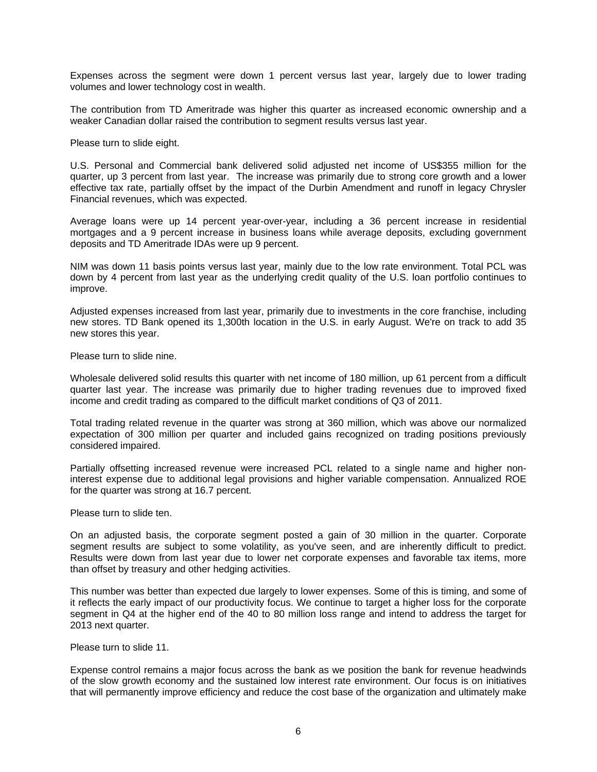Expenses across the segment were down 1 percent versus last year, largely due to lower trading volumes and lower technology cost in wealth.

The contribution from TD Ameritrade was higher this quarter as increased economic ownership and a weaker Canadian dollar raised the contribution to segment results versus last year.

Please turn to slide eight.

U.S. Personal and Commercial bank delivered solid adjusted net income of US\$355 million for the quarter, up 3 percent from last year. The increase was primarily due to strong core growth and a lower effective tax rate, partially offset by the impact of the Durbin Amendment and runoff in legacy Chrysler Financial revenues, which was expected.

Average loans were up 14 percent year-over-year, including a 36 percent increase in residential mortgages and a 9 percent increase in business loans while average deposits, excluding government deposits and TD Ameritrade IDAs were up 9 percent.

NIM was down 11 basis points versus last year, mainly due to the low rate environment. Total PCL was down by 4 percent from last year as the underlying credit quality of the U.S. loan portfolio continues to improve.

Adjusted expenses increased from last year, primarily due to investments in the core franchise, including new stores. TD Bank opened its 1,300th location in the U.S. in early August. We're on track to add 35 new stores this year.

Please turn to slide nine.

Wholesale delivered solid results this quarter with net income of 180 million, up 61 percent from a difficult quarter last year. The increase was primarily due to higher trading revenues due to improved fixed income and credit trading as compared to the difficult market conditions of Q3 of 2011.

Total trading related revenue in the quarter was strong at 360 million, which was above our normalized expectation of 300 million per quarter and included gains recognized on trading positions previously considered impaired.

Partially offsetting increased revenue were increased PCL related to a single name and higher noninterest expense due to additional legal provisions and higher variable compensation. Annualized ROE for the quarter was strong at 16.7 percent.

Please turn to slide ten.

On an adjusted basis, the corporate segment posted a gain of 30 million in the quarter. Corporate segment results are subject to some volatility, as you've seen, and are inherently difficult to predict. Results were down from last year due to lower net corporate expenses and favorable tax items, more than offset by treasury and other hedging activities.

This number was better than expected due largely to lower expenses. Some of this is timing, and some of it reflects the early impact of our productivity focus. We continue to target a higher loss for the corporate segment in Q4 at the higher end of the 40 to 80 million loss range and intend to address the target for 2013 next quarter.

Please turn to slide 11.

Expense control remains a major focus across the bank as we position the bank for revenue headwinds of the slow growth economy and the sustained low interest rate environment. Our focus is on initiatives that will permanently improve efficiency and reduce the cost base of the organization and ultimately make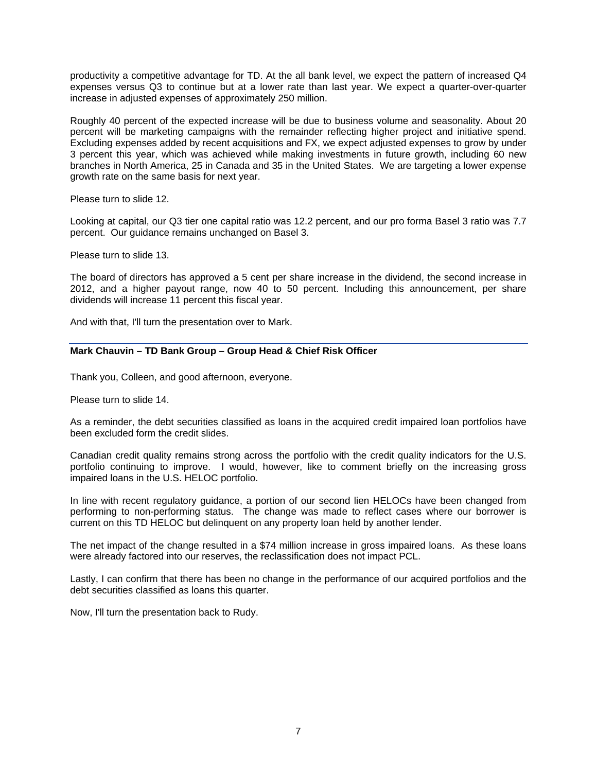productivity a competitive advantage for TD. At the all bank level, we expect the pattern of increased Q4 expenses versus Q3 to continue but at a lower rate than last year. We expect a quarter-over-quarter increase in adjusted expenses of approximately 250 million.

Roughly 40 percent of the expected increase will be due to business volume and seasonality. About 20 percent will be marketing campaigns with the remainder reflecting higher project and initiative spend. Excluding expenses added by recent acquisitions and FX, we expect adjusted expenses to grow by under 3 percent this year, which was achieved while making investments in future growth, including 60 new branches in North America, 25 in Canada and 35 in the United States. We are targeting a lower expense growth rate on the same basis for next year.

Please turn to slide 12.

Looking at capital, our Q3 tier one capital ratio was 12.2 percent, and our pro forma Basel 3 ratio was 7.7 percent. Our guidance remains unchanged on Basel 3.

Please turn to slide 13.

The board of directors has approved a 5 cent per share increase in the dividend, the second increase in 2012, and a higher payout range, now 40 to 50 percent. Including this announcement, per share dividends will increase 11 percent this fiscal year.

And with that, I'll turn the presentation over to Mark.

# **Mark Chauvin – TD Bank Group – Group Head & Chief Risk Officer**

Thank you, Colleen, and good afternoon, everyone.

Please turn to slide 14.

As a reminder, the debt securities classified as loans in the acquired credit impaired loan portfolios have been excluded form the credit slides.

Canadian credit quality remains strong across the portfolio with the credit quality indicators for the U.S. portfolio continuing to improve. I would, however, like to comment briefly on the increasing gross impaired loans in the U.S. HELOC portfolio.

In line with recent regulatory guidance, a portion of our second lien HELOCs have been changed from performing to non-performing status. The change was made to reflect cases where our borrower is current on this TD HELOC but delinquent on any property loan held by another lender.

The net impact of the change resulted in a \$74 million increase in gross impaired loans. As these loans were already factored into our reserves, the reclassification does not impact PCL.

Lastly, I can confirm that there has been no change in the performance of our acquired portfolios and the debt securities classified as loans this quarter.

Now, I'll turn the presentation back to Rudy.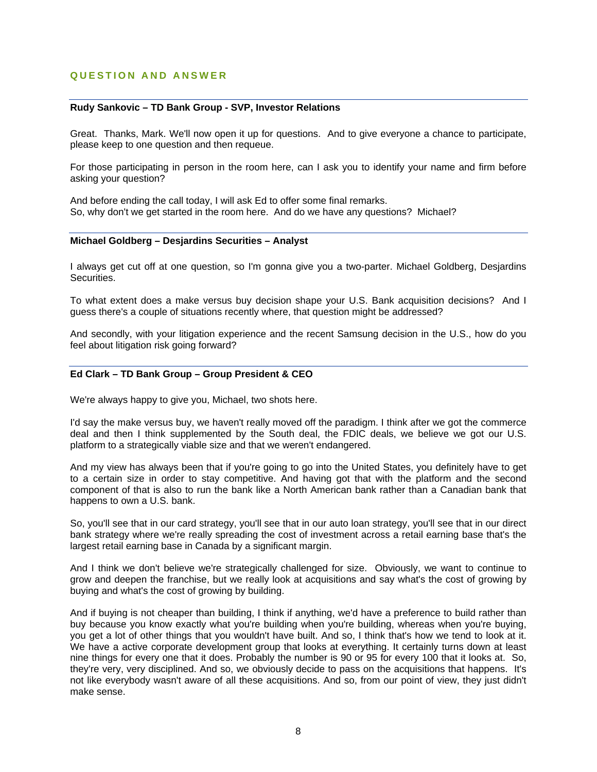# **QUESTION AND ANSWER**

# **Rudy Sankovic – TD Bank Group - SVP, Investor Relations**

Great. Thanks, Mark. We'll now open it up for questions. And to give everyone a chance to participate, please keep to one question and then requeue.

For those participating in person in the room here, can I ask you to identify your name and firm before asking your question?

And before ending the call today, I will ask Ed to offer some final remarks. So, why don't we get started in the room here. And do we have any questions? Michael?

### **Michael Goldberg – Desjardins Securities – Analyst**

I always get cut off at one question, so I'm gonna give you a two-parter. Michael Goldberg, Desjardins Securities.

To what extent does a make versus buy decision shape your U.S. Bank acquisition decisions? And I guess there's a couple of situations recently where, that question might be addressed?

And secondly, with your litigation experience and the recent Samsung decision in the U.S., how do you feel about litigation risk going forward?

#### **Ed Clark – TD Bank Group – Group President & CEO**

We're always happy to give you, Michael, two shots here.

I'd say the make versus buy, we haven't really moved off the paradigm. I think after we got the commerce deal and then I think supplemented by the South deal, the FDIC deals, we believe we got our U.S. platform to a strategically viable size and that we weren't endangered.

And my view has always been that if you're going to go into the United States, you definitely have to get to a certain size in order to stay competitive. And having got that with the platform and the second component of that is also to run the bank like a North American bank rather than a Canadian bank that happens to own a U.S. bank.

So, you'll see that in our card strategy, you'll see that in our auto loan strategy, you'll see that in our direct bank strategy where we're really spreading the cost of investment across a retail earning base that's the largest retail earning base in Canada by a significant margin.

And I think we don't believe we're strategically challenged for size. Obviously, we want to continue to grow and deepen the franchise, but we really look at acquisitions and say what's the cost of growing by buying and what's the cost of growing by building.

And if buying is not cheaper than building, I think if anything, we'd have a preference to build rather than buy because you know exactly what you're building when you're building, whereas when you're buying, you get a lot of other things that you wouldn't have built. And so, I think that's how we tend to look at it. We have a active corporate development group that looks at everything. It certainly turns down at least nine things for every one that it does. Probably the number is 90 or 95 for every 100 that it looks at. So, they're very, very disciplined. And so, we obviously decide to pass on the acquisitions that happens. It's not like everybody wasn't aware of all these acquisitions. And so, from our point of view, they just didn't make sense.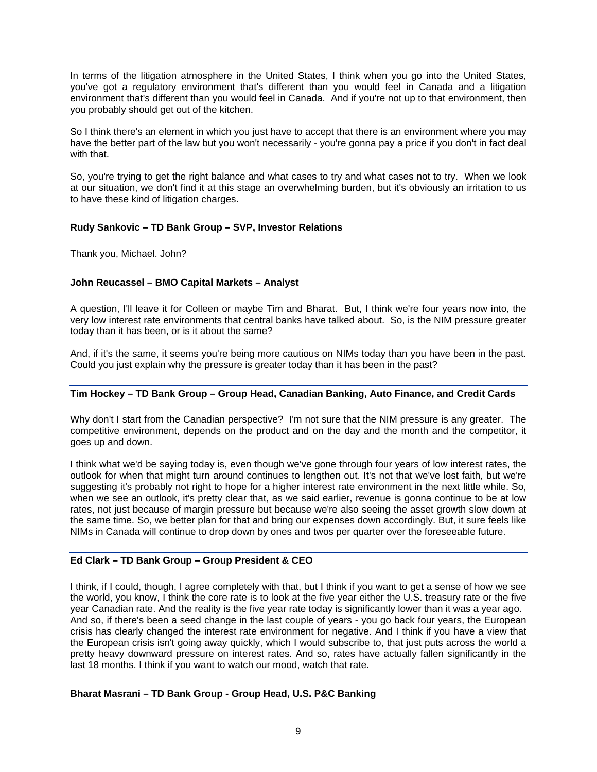In terms of the litigation atmosphere in the United States, I think when you go into the United States, you've got a regulatory environment that's different than you would feel in Canada and a litigation environment that's different than you would feel in Canada. And if you're not up to that environment, then you probably should get out of the kitchen.

So I think there's an element in which you just have to accept that there is an environment where you may have the better part of the law but you won't necessarily - you're gonna pay a price if you don't in fact deal with that.

So, you're trying to get the right balance and what cases to try and what cases not to try. When we look at our situation, we don't find it at this stage an overwhelming burden, but it's obviously an irritation to us to have these kind of litigation charges.

# **Rudy Sankovic – TD Bank Group – SVP, Investor Relations**

Thank you, Michael. John?

# **John Reucassel – BMO Capital Markets – Analyst**

A question, I'll leave it for Colleen or maybe Tim and Bharat. But, I think we're four years now into, the very low interest rate environments that central banks have talked about. So, is the NIM pressure greater today than it has been, or is it about the same?

And, if it's the same, it seems you're being more cautious on NIMs today than you have been in the past. Could you just explain why the pressure is greater today than it has been in the past?

# **Tim Hockey – TD Bank Group – Group Head, Canadian Banking, Auto Finance, and Credit Cards**

Why don't I start from the Canadian perspective? I'm not sure that the NIM pressure is any greater. The competitive environment, depends on the product and on the day and the month and the competitor, it goes up and down.

I think what we'd be saying today is, even though we've gone through four years of low interest rates, the outlook for when that might turn around continues to lengthen out. It's not that we've lost faith, but we're suggesting it's probably not right to hope for a higher interest rate environment in the next little while. So, when we see an outlook, it's pretty clear that, as we said earlier, revenue is gonna continue to be at low rates, not just because of margin pressure but because we're also seeing the asset growth slow down at the same time. So, we better plan for that and bring our expenses down accordingly. But, it sure feels like NIMs in Canada will continue to drop down by ones and twos per quarter over the foreseeable future.

# **Ed Clark – TD Bank Group – Group President & CEO**

I think, if I could, though, I agree completely with that, but I think if you want to get a sense of how we see the world, you know, I think the core rate is to look at the five year either the U.S. treasury rate or the five year Canadian rate. And the reality is the five year rate today is significantly lower than it was a year ago. And so, if there's been a seed change in the last couple of years - you go back four years, the European crisis has clearly changed the interest rate environment for negative. And I think if you have a view that the European crisis isn't going away quickly, which I would subscribe to, that just puts across the world a pretty heavy downward pressure on interest rates. And so, rates have actually fallen significantly in the last 18 months. I think if you want to watch our mood, watch that rate.

# **Bharat Masrani – TD Bank Group - Group Head, U.S. P&C Banking**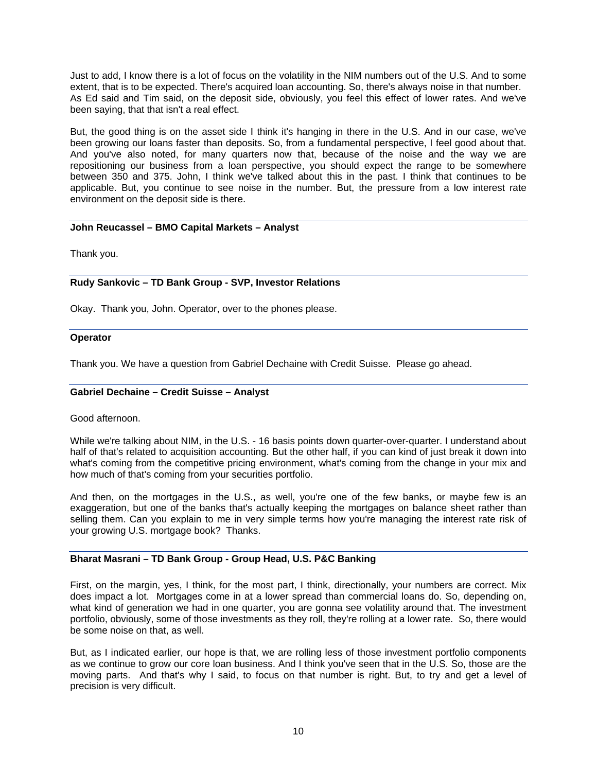Just to add, I know there is a lot of focus on the volatility in the NIM numbers out of the U.S. And to some extent, that is to be expected. There's acquired loan accounting. So, there's always noise in that number. As Ed said and Tim said, on the deposit side, obviously, you feel this effect of lower rates. And we've been saying, that that isn't a real effect.

But, the good thing is on the asset side I think it's hanging in there in the U.S. And in our case, we've been growing our loans faster than deposits. So, from a fundamental perspective, I feel good about that. And you've also noted, for many quarters now that, because of the noise and the way we are repositioning our business from a loan perspective, you should expect the range to be somewhere between 350 and 375. John, I think we've talked about this in the past. I think that continues to be applicable. But, you continue to see noise in the number. But, the pressure from a low interest rate environment on the deposit side is there.

# **John Reucassel – BMO Capital Markets – Analyst**

Thank you.

# **Rudy Sankovic – TD Bank Group - SVP, Investor Relations**

Okay. Thank you, John. Operator, over to the phones please.

# **Operator**

Thank you. We have a question from Gabriel Dechaine with Credit Suisse. Please go ahead.

# **Gabriel Dechaine – Credit Suisse – Analyst**

# Good afternoon.

While we're talking about NIM, in the U.S. - 16 basis points down quarter-over-quarter. I understand about half of that's related to acquisition accounting. But the other half, if you can kind of just break it down into what's coming from the competitive pricing environment, what's coming from the change in your mix and how much of that's coming from your securities portfolio.

And then, on the mortgages in the U.S., as well, you're one of the few banks, or maybe few is an exaggeration, but one of the banks that's actually keeping the mortgages on balance sheet rather than selling them. Can you explain to me in very simple terms how you're managing the interest rate risk of your growing U.S. mortgage book? Thanks.

# **Bharat Masrani – TD Bank Group - Group Head, U.S. P&C Banking**

First, on the margin, yes, I think, for the most part, I think, directionally, your numbers are correct. Mix does impact a lot. Mortgages come in at a lower spread than commercial loans do. So, depending on, what kind of generation we had in one quarter, you are gonna see volatility around that. The investment portfolio, obviously, some of those investments as they roll, they're rolling at a lower rate. So, there would be some noise on that, as well.

But, as I indicated earlier, our hope is that, we are rolling less of those investment portfolio components as we continue to grow our core loan business. And I think you've seen that in the U.S. So, those are the moving parts. And that's why I said, to focus on that number is right. But, to try and get a level of precision is very difficult.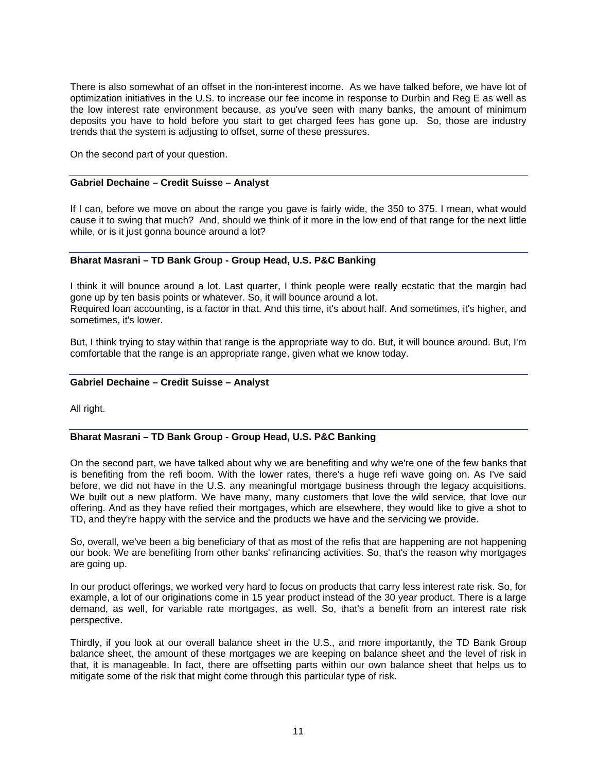There is also somewhat of an offset in the non-interest income. As we have talked before, we have lot of optimization initiatives in the U.S. to increase our fee income in response to Durbin and Reg E as well as the low interest rate environment because, as you've seen with many banks, the amount of minimum deposits you have to hold before you start to get charged fees has gone up. So, those are industry trends that the system is adjusting to offset, some of these pressures.

On the second part of your question.

# **Gabriel Dechaine – Credit Suisse – Analyst**

If I can, before we move on about the range you gave is fairly wide, the 350 to 375. I mean, what would cause it to swing that much? And, should we think of it more in the low end of that range for the next little while, or is it just gonna bounce around a lot?

# **Bharat Masrani – TD Bank Group - Group Head, U.S. P&C Banking**

I think it will bounce around a lot. Last quarter, I think people were really ecstatic that the margin had gone up by ten basis points or whatever. So, it will bounce around a lot. Required loan accounting, is a factor in that. And this time, it's about half. And sometimes, it's higher, and sometimes, it's lower.

But, I think trying to stay within that range is the appropriate way to do. But, it will bounce around. But, I'm comfortable that the range is an appropriate range, given what we know today.

# **Gabriel Dechaine – Credit Suisse – Analyst**

All right.

# **Bharat Masrani – TD Bank Group - Group Head, U.S. P&C Banking**

On the second part, we have talked about why we are benefiting and why we're one of the few banks that is benefiting from the refi boom. With the lower rates, there's a huge refi wave going on. As I've said before, we did not have in the U.S. any meaningful mortgage business through the legacy acquisitions. We built out a new platform. We have many, many customers that love the wild service, that love our offering. And as they have refied their mortgages, which are elsewhere, they would like to give a shot to TD, and they're happy with the service and the products we have and the servicing we provide.

So, overall, we've been a big beneficiary of that as most of the refis that are happening are not happening our book. We are benefiting from other banks' refinancing activities. So, that's the reason why mortgages are going up.

In our product offerings, we worked very hard to focus on products that carry less interest rate risk. So, for example, a lot of our originations come in 15 year product instead of the 30 year product. There is a large demand, as well, for variable rate mortgages, as well. So, that's a benefit from an interest rate risk perspective.

Thirdly, if you look at our overall balance sheet in the U.S., and more importantly, the TD Bank Group balance sheet, the amount of these mortgages we are keeping on balance sheet and the level of risk in that, it is manageable. In fact, there are offsetting parts within our own balance sheet that helps us to mitigate some of the risk that might come through this particular type of risk.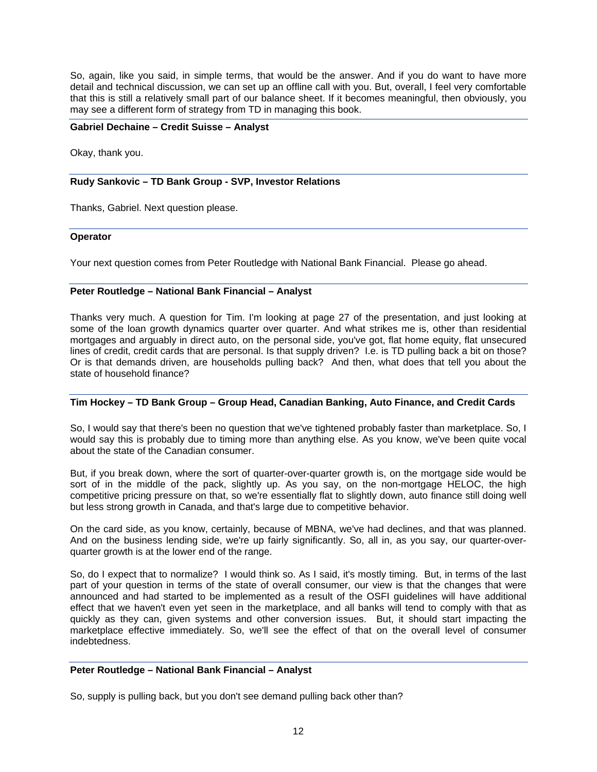So, again, like you said, in simple terms, that would be the answer. And if you do want to have more detail and technical discussion, we can set up an offline call with you. But, overall, I feel very comfortable that this is still a relatively small part of our balance sheet. If it becomes meaningful, then obviously, you may see a different form of strategy from TD in managing this book.

### **Gabriel Dechaine – Credit Suisse – Analyst**

Okay, thank you.

### **Rudy Sankovic – TD Bank Group - SVP, Investor Relations**

Thanks, Gabriel. Next question please.

#### **Operator**

Your next question comes from Peter Routledge with National Bank Financial. Please go ahead.

#### **Peter Routledge – National Bank Financial – Analyst**

Thanks very much. A question for Tim. I'm looking at page 27 of the presentation, and just looking at some of the loan growth dynamics quarter over quarter. And what strikes me is, other than residential mortgages and arguably in direct auto, on the personal side, you've got, flat home equity, flat unsecured lines of credit, credit cards that are personal. Is that supply driven? I.e. is TD pulling back a bit on those? Or is that demands driven, are households pulling back? And then, what does that tell you about the state of household finance?

# **Tim Hockey – TD Bank Group – Group Head, Canadian Banking, Auto Finance, and Credit Cards**

So, I would say that there's been no question that we've tightened probably faster than marketplace. So, I would say this is probably due to timing more than anything else. As you know, we've been quite vocal about the state of the Canadian consumer.

But, if you break down, where the sort of quarter-over-quarter growth is, on the mortgage side would be sort of in the middle of the pack, slightly up. As you say, on the non-mortgage HELOC, the high competitive pricing pressure on that, so we're essentially flat to slightly down, auto finance still doing well but less strong growth in Canada, and that's large due to competitive behavior.

On the card side, as you know, certainly, because of MBNA, we've had declines, and that was planned. And on the business lending side, we're up fairly significantly. So, all in, as you say, our quarter-overquarter growth is at the lower end of the range.

So, do I expect that to normalize? I would think so. As I said, it's mostly timing. But, in terms of the last part of your question in terms of the state of overall consumer, our view is that the changes that were announced and had started to be implemented as a result of the OSFI guidelines will have additional effect that we haven't even yet seen in the marketplace, and all banks will tend to comply with that as quickly as they can, given systems and other conversion issues. But, it should start impacting the marketplace effective immediately. So, we'll see the effect of that on the overall level of consumer indebtedness.

# **Peter Routledge – National Bank Financial – Analyst**

So, supply is pulling back, but you don't see demand pulling back other than?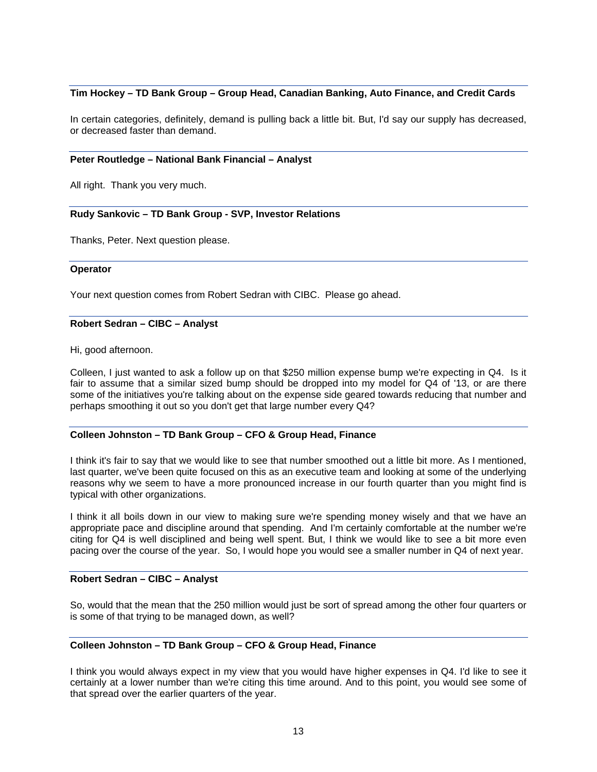### **Tim Hockey – TD Bank Group – Group Head, Canadian Banking, Auto Finance, and Credit Cards**

In certain categories, definitely, demand is pulling back a little bit. But, I'd say our supply has decreased, or decreased faster than demand.

#### **Peter Routledge – National Bank Financial – Analyst**

All right. Thank you very much.

#### **Rudy Sankovic – TD Bank Group - SVP, Investor Relations**

Thanks, Peter. Next question please.

#### **Operator**

Your next question comes from Robert Sedran with CIBC. Please go ahead.

#### **Robert Sedran – CIBC – Analyst**

Hi, good afternoon.

Colleen, I just wanted to ask a follow up on that \$250 million expense bump we're expecting in Q4. Is it fair to assume that a similar sized bump should be dropped into my model for Q4 of '13, or are there some of the initiatives you're talking about on the expense side geared towards reducing that number and perhaps smoothing it out so you don't get that large number every Q4?

### **Colleen Johnston – TD Bank Group – CFO & Group Head, Finance**

I think it's fair to say that we would like to see that number smoothed out a little bit more. As I mentioned, last quarter, we've been quite focused on this as an executive team and looking at some of the underlying reasons why we seem to have a more pronounced increase in our fourth quarter than you might find is typical with other organizations.

I think it all boils down in our view to making sure we're spending money wisely and that we have an appropriate pace and discipline around that spending. And I'm certainly comfortable at the number we're citing for Q4 is well disciplined and being well spent. But, I think we would like to see a bit more even pacing over the course of the year. So, I would hope you would see a smaller number in Q4 of next year.

#### **Robert Sedran – CIBC – Analyst**

So, would that the mean that the 250 million would just be sort of spread among the other four quarters or is some of that trying to be managed down, as well?

### **Colleen Johnston – TD Bank Group – CFO & Group Head, Finance**

I think you would always expect in my view that you would have higher expenses in Q4. I'd like to see it certainly at a lower number than we're citing this time around. And to this point, you would see some of that spread over the earlier quarters of the year.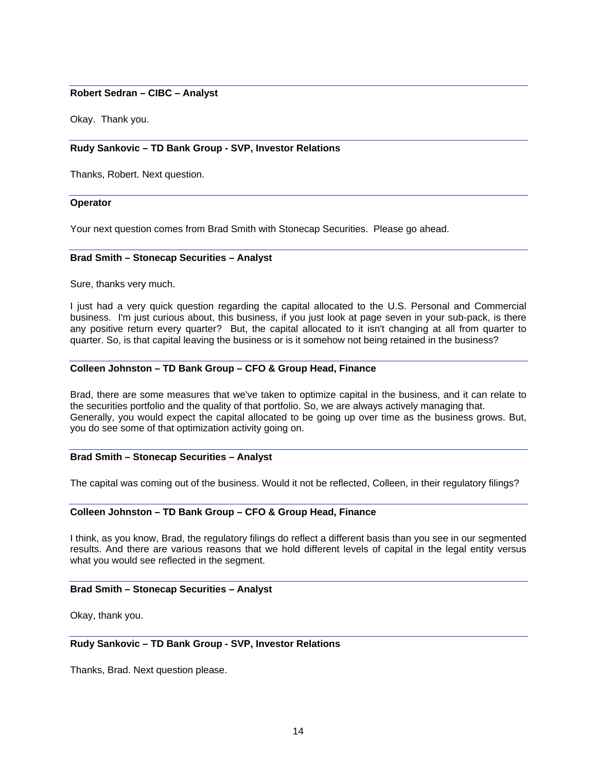# **Robert Sedran – CIBC – Analyst**

Okay. Thank you.

# **Rudy Sankovic – TD Bank Group - SVP, Investor Relations**

Thanks, Robert. Next question.

#### **Operator**

Your next question comes from Brad Smith with Stonecap Securities. Please go ahead.

#### **Brad Smith – Stonecap Securities – Analyst**

Sure, thanks very much.

I just had a very quick question regarding the capital allocated to the U.S. Personal and Commercial business. I'm just curious about, this business, if you just look at page seven in your sub-pack, is there any positive return every quarter? But, the capital allocated to it isn't changing at all from quarter to quarter. So, is that capital leaving the business or is it somehow not being retained in the business?

# **Colleen Johnston – TD Bank Group – CFO & Group Head, Finance**

Brad, there are some measures that we've taken to optimize capital in the business, and it can relate to the securities portfolio and the quality of that portfolio. So, we are always actively managing that. Generally, you would expect the capital allocated to be going up over time as the business grows. But, you do see some of that optimization activity going on.

# **Brad Smith – Stonecap Securities – Analyst**

The capital was coming out of the business. Would it not be reflected, Colleen, in their regulatory filings?

# **Colleen Johnston – TD Bank Group – CFO & Group Head, Finance**

I think, as you know, Brad, the regulatory filings do reflect a different basis than you see in our segmented results. And there are various reasons that we hold different levels of capital in the legal entity versus what you would see reflected in the segment.

#### **Brad Smith – Stonecap Securities – Analyst**

Okay, thank you.

# **Rudy Sankovic – TD Bank Group - SVP, Investor Relations**

Thanks, Brad. Next question please.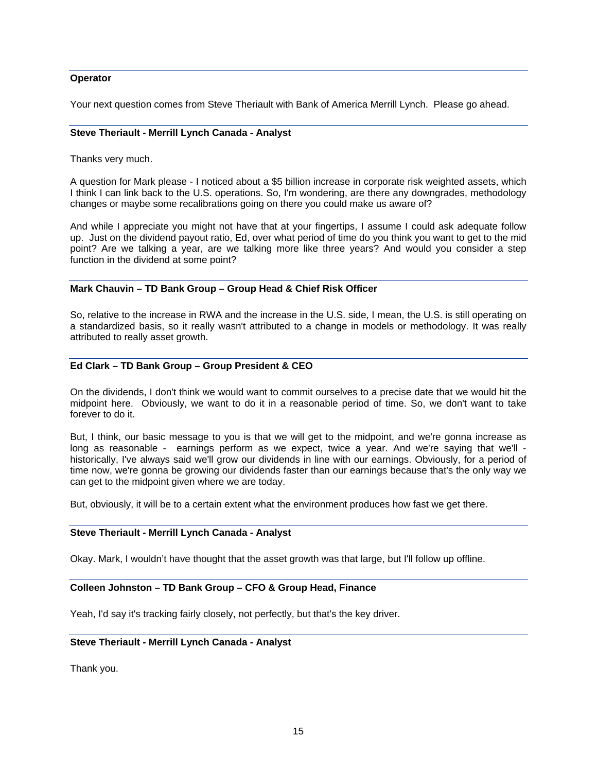### **Operator**

Your next question comes from Steve Theriault with Bank of America Merrill Lynch. Please go ahead.

#### **Steve Theriault - Merrill Lynch Canada - Analyst**

Thanks very much.

A question for Mark please - I noticed about a \$5 billion increase in corporate risk weighted assets, which I think I can link back to the U.S. operations. So, I'm wondering, are there any downgrades, methodology changes or maybe some recalibrations going on there you could make us aware of?

And while I appreciate you might not have that at your fingertips, I assume I could ask adequate follow up. Just on the dividend payout ratio, Ed, over what period of time do you think you want to get to the mid point? Are we talking a year, are we talking more like three years? And would you consider a step function in the dividend at some point?

# **Mark Chauvin – TD Bank Group – Group Head & Chief Risk Officer**

So, relative to the increase in RWA and the increase in the U.S. side, I mean, the U.S. is still operating on a standardized basis, so it really wasn't attributed to a change in models or methodology. It was really attributed to really asset growth.

#### **Ed Clark – TD Bank Group – Group President & CEO**

On the dividends, I don't think we would want to commit ourselves to a precise date that we would hit the midpoint here. Obviously, we want to do it in a reasonable period of time. So, we don't want to take forever to do it.

But, I think, our basic message to you is that we will get to the midpoint, and we're gonna increase as long as reasonable - earnings perform as we expect, twice a year. And we're saying that we'll historically, I've always said we'll grow our dividends in line with our earnings. Obviously, for a period of time now, we're gonna be growing our dividends faster than our earnings because that's the only way we can get to the midpoint given where we are today.

But, obviously, it will be to a certain extent what the environment produces how fast we get there.

#### **Steve Theriault - Merrill Lynch Canada - Analyst**

Okay. Mark, I wouldn't have thought that the asset growth was that large, but I'll follow up offline.

#### **Colleen Johnston – TD Bank Group – CFO & Group Head, Finance**

Yeah, I'd say it's tracking fairly closely, not perfectly, but that's the key driver.

#### **Steve Theriault - Merrill Lynch Canada - Analyst**

Thank you.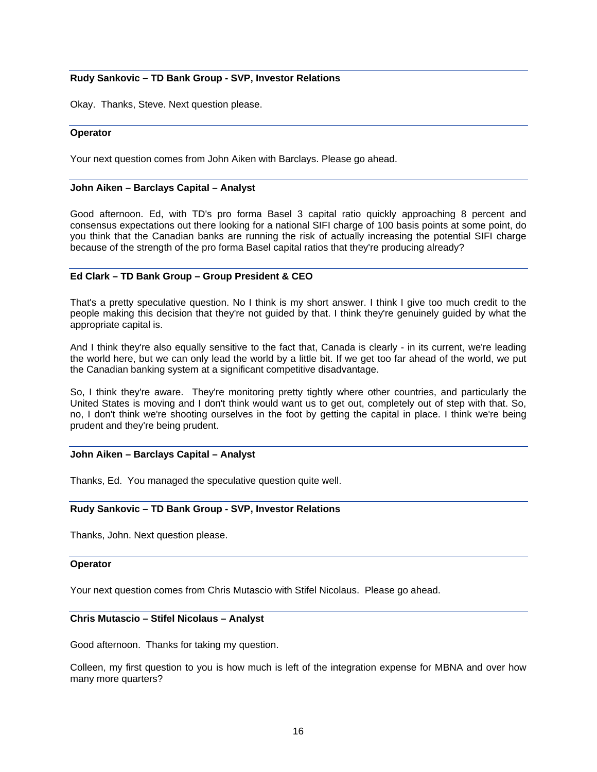# **Rudy Sankovic – TD Bank Group - SVP, Investor Relations**

Okay. Thanks, Steve. Next question please.

#### **Operator**

Your next question comes from John Aiken with Barclays. Please go ahead.

#### **John Aiken – Barclays Capital – Analyst**

Good afternoon. Ed, with TD's pro forma Basel 3 capital ratio quickly approaching 8 percent and consensus expectations out there looking for a national SIFI charge of 100 basis points at some point, do you think that the Canadian banks are running the risk of actually increasing the potential SIFI charge because of the strength of the pro forma Basel capital ratios that they're producing already?

# **Ed Clark – TD Bank Group – Group President & CEO**

That's a pretty speculative question. No I think is my short answer. I think I give too much credit to the people making this decision that they're not guided by that. I think they're genuinely guided by what the appropriate capital is.

And I think they're also equally sensitive to the fact that, Canada is clearly - in its current, we're leading the world here, but we can only lead the world by a little bit. If we get too far ahead of the world, we put the Canadian banking system at a significant competitive disadvantage.

So, I think they're aware. They're monitoring pretty tightly where other countries, and particularly the United States is moving and I don't think would want us to get out, completely out of step with that. So, no, I don't think we're shooting ourselves in the foot by getting the capital in place. I think we're being prudent and they're being prudent.

### **John Aiken – Barclays Capital – Analyst**

Thanks, Ed. You managed the speculative question quite well.

### **Rudy Sankovic – TD Bank Group - SVP, Investor Relations**

Thanks, John. Next question please.

### **Operator**

Your next question comes from Chris Mutascio with Stifel Nicolaus. Please go ahead.

#### **Chris Mutascio – Stifel Nicolaus – Analyst**

Good afternoon. Thanks for taking my question.

Colleen, my first question to you is how much is left of the integration expense for MBNA and over how many more quarters?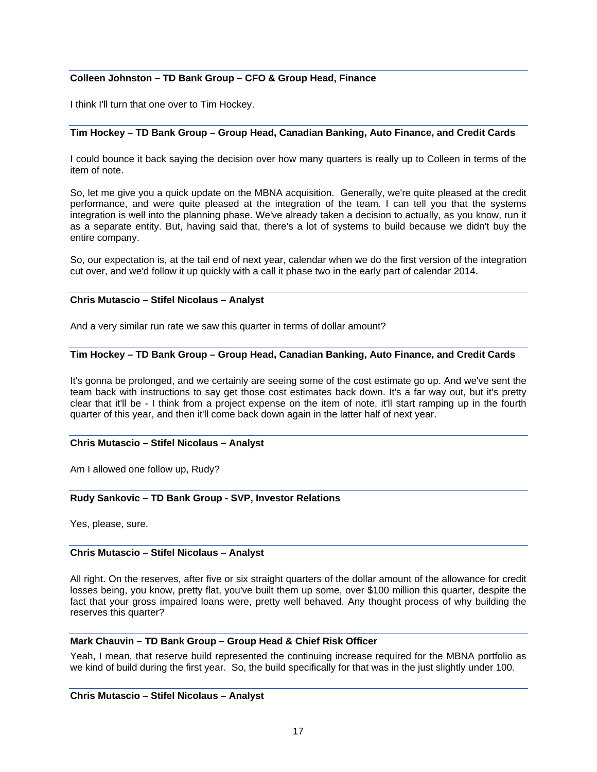# **Colleen Johnston – TD Bank Group – CFO & Group Head, Finance**

I think I'll turn that one over to Tim Hockey.

# **Tim Hockey – TD Bank Group – Group Head, Canadian Banking, Auto Finance, and Credit Cards**

I could bounce it back saying the decision over how many quarters is really up to Colleen in terms of the item of note.

So, let me give you a quick update on the MBNA acquisition. Generally, we're quite pleased at the credit performance, and were quite pleased at the integration of the team. I can tell you that the systems integration is well into the planning phase. We've already taken a decision to actually, as you know, run it as a separate entity. But, having said that, there's a lot of systems to build because we didn't buy the entire company.

So, our expectation is, at the tail end of next year, calendar when we do the first version of the integration cut over, and we'd follow it up quickly with a call it phase two in the early part of calendar 2014.

# **Chris Mutascio – Stifel Nicolaus – Analyst**

And a very similar run rate we saw this quarter in terms of dollar amount?

# **Tim Hockey – TD Bank Group – Group Head, Canadian Banking, Auto Finance, and Credit Cards**

It's gonna be prolonged, and we certainly are seeing some of the cost estimate go up. And we've sent the team back with instructions to say get those cost estimates back down. It's a far way out, but it's pretty clear that it'll be - I think from a project expense on the item of note, it'll start ramping up in the fourth quarter of this year, and then it'll come back down again in the latter half of next year.

# **Chris Mutascio – Stifel Nicolaus – Analyst**

Am I allowed one follow up, Rudy?

# **Rudy Sankovic – TD Bank Group - SVP, Investor Relations**

Yes, please, sure.

# **Chris Mutascio – Stifel Nicolaus – Analyst**

All right. On the reserves, after five or six straight quarters of the dollar amount of the allowance for credit losses being, you know, pretty flat, you've built them up some, over \$100 million this quarter, despite the fact that your gross impaired loans were, pretty well behaved. Any thought process of why building the reserves this quarter?

# **Mark Chauvin – TD Bank Group – Group Head & Chief Risk Officer**

Yeah, I mean, that reserve build represented the continuing increase required for the MBNA portfolio as we kind of build during the first year. So, the build specifically for that was in the just slightly under 100.

### **Chris Mutascio – Stifel Nicolaus – Analyst**